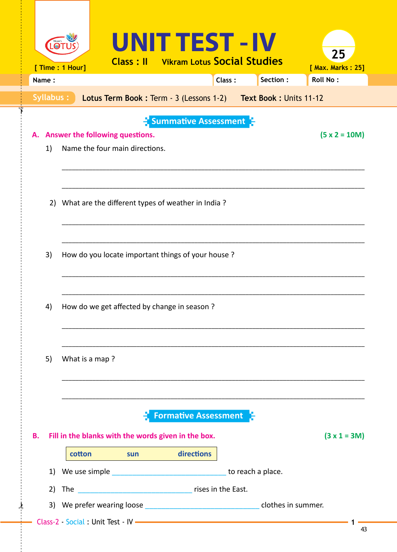|           | [ Time : 1 Hour] |                                                                      |     | UNIT TEST - IV<br><b>Class: Il</b> Vikram Lotus Social Studies                     |        |                                                                | 25<br>[ Max. Marks: 25] |
|-----------|------------------|----------------------------------------------------------------------|-----|------------------------------------------------------------------------------------|--------|----------------------------------------------------------------|-------------------------|
| Name:     |                  |                                                                      |     |                                                                                    | Class: | Section:                                                       | <b>Roll No:</b>         |
| Syllabus: |                  |                                                                      |     |                                                                                    |        | Lotus Term Book: Term - 3 (Lessons 1-2) Text Book: Units 11-12 |                         |
| 1)        |                  | A. Answer the following questions.<br>Name the four main directions. |     | $\frac{1}{2}$ Summative Assessment $\frac{1}{2}$                                   |        |                                                                | $(5 x 2 = 10M)$         |
|           |                  |                                                                      |     | 2) What are the different types of weather in India?                               |        |                                                                |                         |
| 3)        |                  |                                                                      |     | How do you locate important things of your house?                                  |        |                                                                |                         |
| 4)        |                  |                                                                      |     | How do we get affected by change in season?                                        |        |                                                                |                         |
| 5)        | What is a map?   |                                                                      |     |                                                                                    |        |                                                                |                         |
| <b>B.</b> |                  |                                                                      |     | <b>Formative Assessment</b><br>Fill in the blanks with the words given in the box. |        |                                                                | $(3 x 1 = 3M)$          |
|           | cotton           |                                                                      | sun | <b><i>directions</i></b>                                                           |        |                                                                |                         |
| 1)        |                  |                                                                      |     |                                                                                    |        |                                                                |                         |
| 2)        |                  |                                                                      |     |                                                                                    |        |                                                                |                         |
|           |                  |                                                                      |     |                                                                                    |        |                                                                |                         |
|           |                  |                                                                      |     |                                                                                    |        |                                                                | 43                      |

ণ

 $\dot{\mathbf{r}}$ 

43